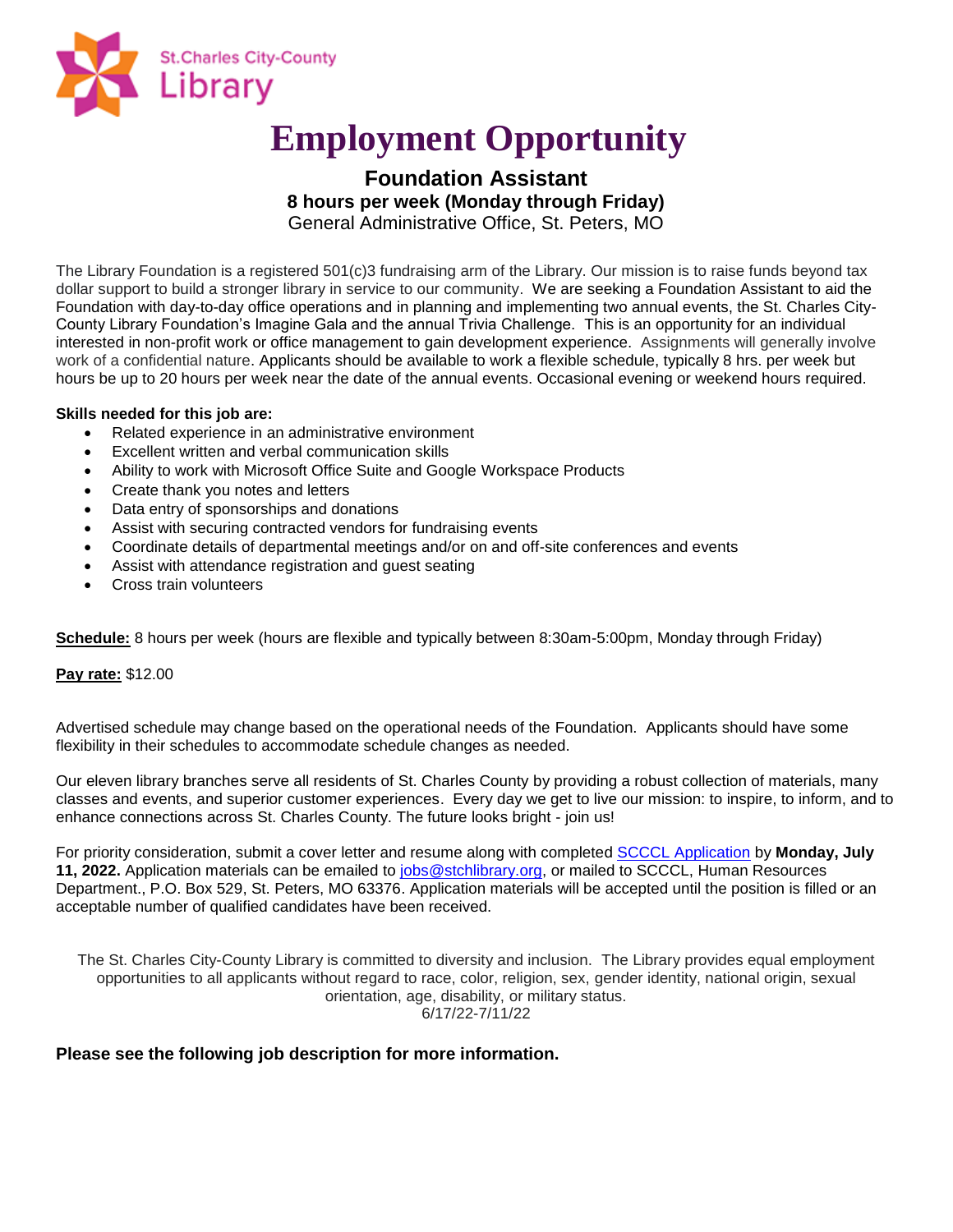

# **Employment Opportunity**

## **Foundation Assistant 8 hours per week (Monday through Friday)**

General Administrative Office, St. Peters, MO

The Library Foundation is a registered 501(c)3 fundraising arm of the Library. Our mission is to raise funds beyond tax dollar support to build a stronger library in service to our community. We are seeking a Foundation Assistant to aid the Foundation with day-to-day office operations and in planning and implementing two annual events, the St. Charles City-County Library Foundation's Imagine Gala and the annual Trivia Challenge. This is an opportunity for an individual interested in non-profit work or office management to gain development experience. Assignments will generally involve work of a confidential nature. Applicants should be available to work a flexible schedule, typically 8 hrs. per week but hours be up to 20 hours per week near the date of the annual events. Occasional evening or weekend hours required.

#### **Skills needed for this job are:**

- Related experience in an administrative environment
- Excellent written and verbal communication skills
- Ability to work with Microsoft Office Suite and Google Workspace Products
- Create thank you notes and letters
- Data entry of sponsorships and donations
- Assist with securing contracted vendors for fundraising events
- Coordinate details of departmental meetings and/or on and off-site conferences and events
- Assist with attendance registration and guest seating
- Cross train volunteers

**Schedule:** 8 hours per week (hours are flexible and typically between 8:30am-5:00pm, Monday through Friday)

#### **Pay rate:** \$12.00

Advertised schedule may change based on the operational needs of the Foundation. Applicants should have some flexibility in their schedules to accommodate schedule changes as needed.

Our eleven library branches serve all residents of St. Charles County by providing a robust collection of materials, many classes and events, and superior customer experiences. Every day we get to live our mission: to inspire, to inform, and to enhance connections across St. Charles County. The future looks bright - join us!

For priority consideration, submit a cover letter and resume along with completed [SCCCL Application](https://www.mylibrary.org/get-job-library) by **Monday, July 11, 2022.** Application materials can be emailed to [jobs@stchlibrary.org,](mailto:jobs@stchlibrary.org) or mailed to SCCCL, Human Resources Department., P.O. Box 529, St. Peters, MO 63376. Application materials will be accepted until the position is filled or an acceptable number of qualified candidates have been received.

The St. Charles City-County Library is committed to diversity and inclusion. The Library provides equal employment opportunities to all applicants without regard to race, color, religion, sex, gender identity, national origin, sexual orientation, age, disability, or military status. 6/17/22-7/11/22

### **Please see the following job description for more information.**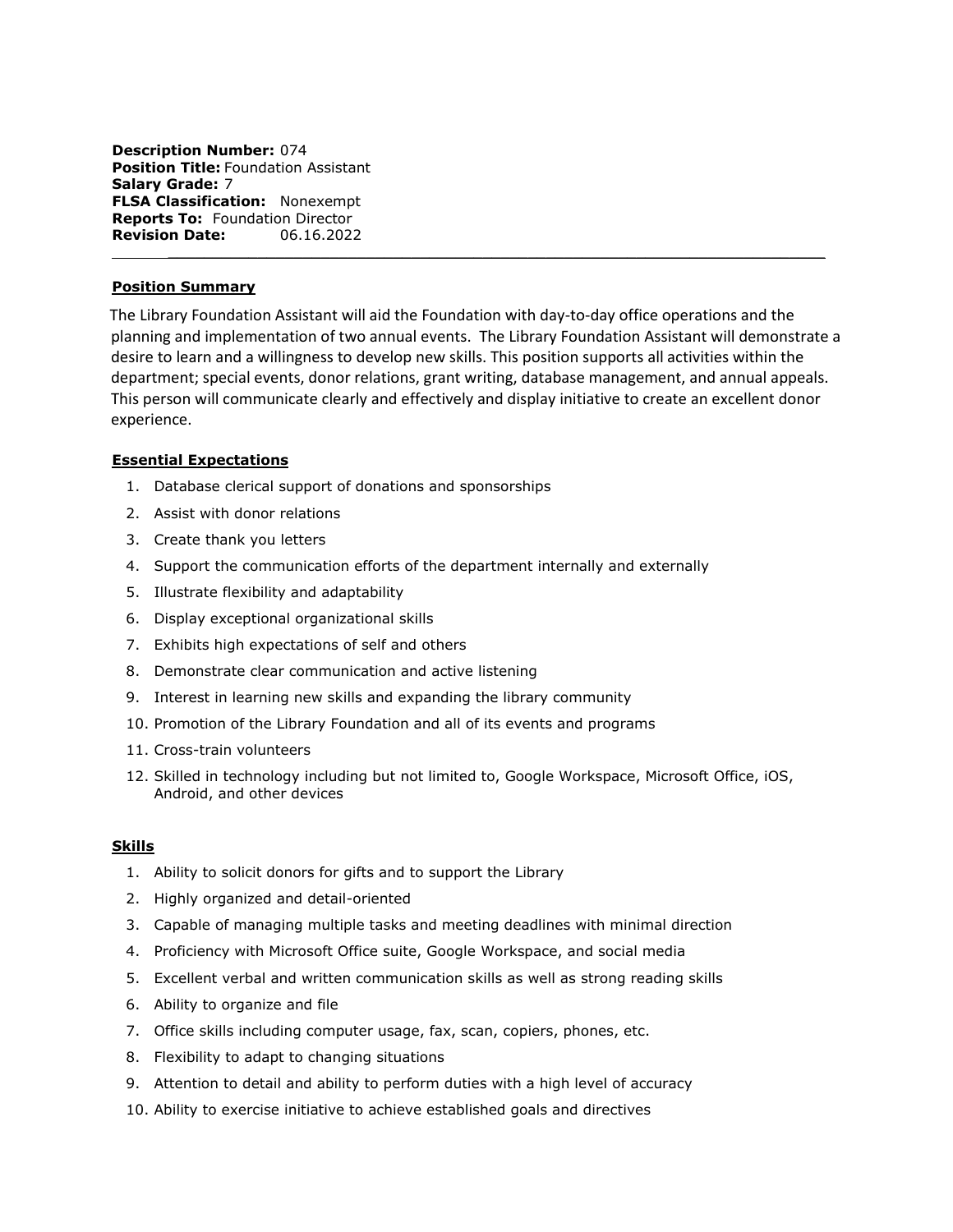**Description Number:** 074 **Position Title:** Foundation Assistant **Salary Grade:** 7 **FLSA Classification:** Nonexempt **Reports To:** Foundation Director **Revision Date:** 06.16.2022

#### **Position Summary**

The Library Foundation Assistant will aid the Foundation with day-to-day office operations and the planning and implementation of two annual events. The Library Foundation Assistant will demonstrate a desire to learn and a willingness to develop new skills. This position supports all activities within the department; special events, donor relations, grant writing, database management, and annual appeals. This person will communicate clearly and effectively and display initiative to create an excellent donor experience.

 $\mathcal{L}_\text{max}$  and  $\mathcal{L}_\text{max}$  and  $\mathcal{L}_\text{max}$  and  $\mathcal{L}_\text{max}$  and  $\mathcal{L}_\text{max}$  and  $\mathcal{L}_\text{max}$ 

#### **Essential Expectations**

- 1. Database clerical support of donations and sponsorships
- 2. Assist with donor relations
- 3. Create thank you letters
- 4. Support the communication efforts of the department internally and externally
- 5. Illustrate flexibility and adaptability
- 6. Display exceptional organizational skills
- 7. Exhibits high expectations of self and others
- 8. Demonstrate clear communication and active listening
- 9. Interest in learning new skills and expanding the library community
- 10. Promotion of the Library Foundation and all of its events and programs
- 11. Cross-train volunteers
- 12. Skilled in technology including but not limited to, Google Workspace, Microsoft Office, iOS, Android, and other devices

#### **Skills**

- 1. Ability to solicit donors for gifts and to support the Library
- 2. Highly organized and detail-oriented
- 3. Capable of managing multiple tasks and meeting deadlines with minimal direction
- 4. Proficiency with Microsoft Office suite, Google Workspace, and social media
- 5. Excellent verbal and written communication skills as well as strong reading skills
- 6. Ability to organize and file
- 7. Office skills including computer usage, fax, scan, copiers, phones, etc.
- 8. Flexibility to adapt to changing situations
- 9. Attention to detail and ability to perform duties with a high level of accuracy
- 10. Ability to exercise initiative to achieve established goals and directives